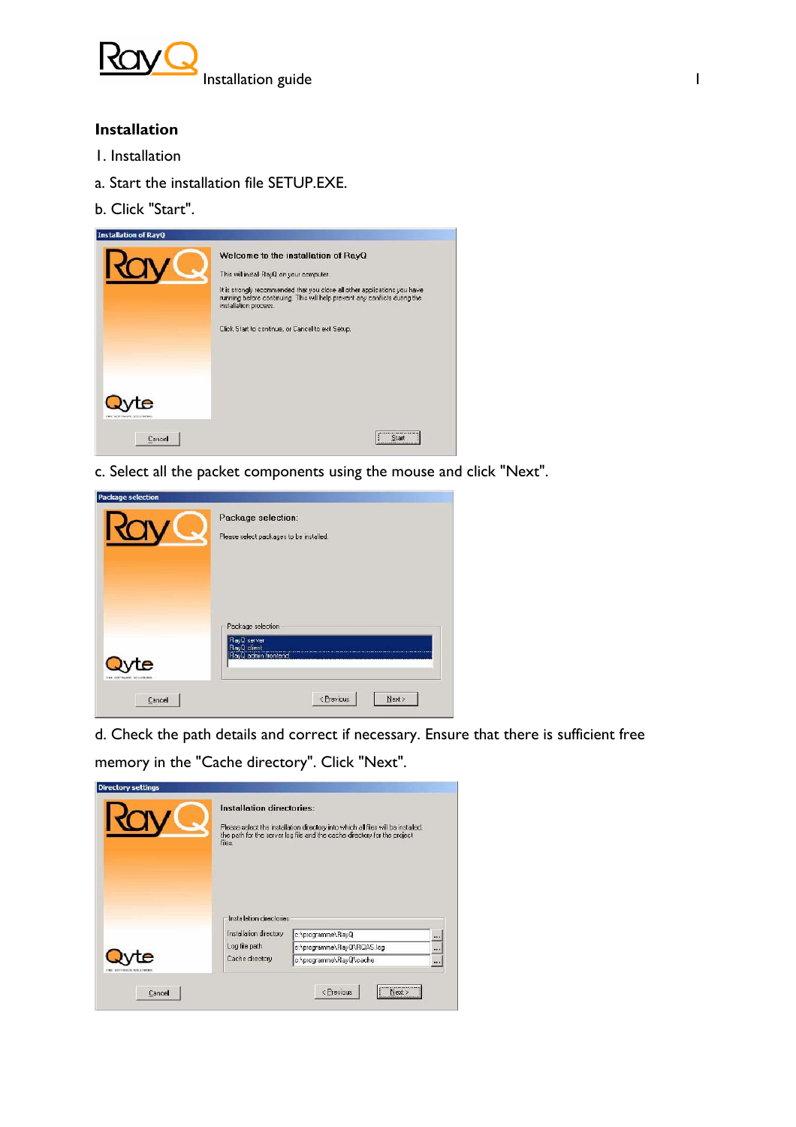

# **Installation**

- 1. Installation
- a. Start the installation file SETUP.EXE.
- b. Click "Start".

| <b>Installation of RayQ</b>             |                                                                                                                                                                                                                                                                                                                          |
|-----------------------------------------|--------------------------------------------------------------------------------------------------------------------------------------------------------------------------------------------------------------------------------------------------------------------------------------------------------------------------|
|                                         | Welcome to the installation of RayQ<br>This will install RayQ on your computer.<br>It is strongly recommended that you close all other applications you have<br>running before continuing. This will help prevent any conflicts during the<br>installation process.<br>Click Start to continue, or Cancel to exit Setup. |
| FERED GENERALISM GEN ATTRONOM<br>Cancel | A DOMESTIC DECIDED MADE COLLEGE<br>Start<br>                                                                                                                                                                                                                                                                             |

c. Select all the packet components using the mouse and click "Next".

| Package selection:<br>Please select packages to be installed.          |
|------------------------------------------------------------------------|
| Package selection<br>RayQ server<br>RayQ client<br>RayQ admin frontend |
|                                                                        |

d. Check the path details and correct if necessary. Ensure that there is sufficient free memory in the "Cache directory". Click "Next".

| Installation directories:<br>files.                | Please select the installation directory into which all files will be installed,<br>the path for the server log file and the cache directory for the project |                      |
|----------------------------------------------------|--------------------------------------------------------------------------------------------------------------------------------------------------------------|----------------------|
| Installation directories<br>Installation directory | c:\programme\RayQ                                                                                                                                            |                      |
| Log file path                                      | c:\programme\RayQ\RQAS.log                                                                                                                                   |                      |
| Cache directory                                    | c:\programme\RayQ\cache                                                                                                                                      | $\cdots$<br>$\cdots$ |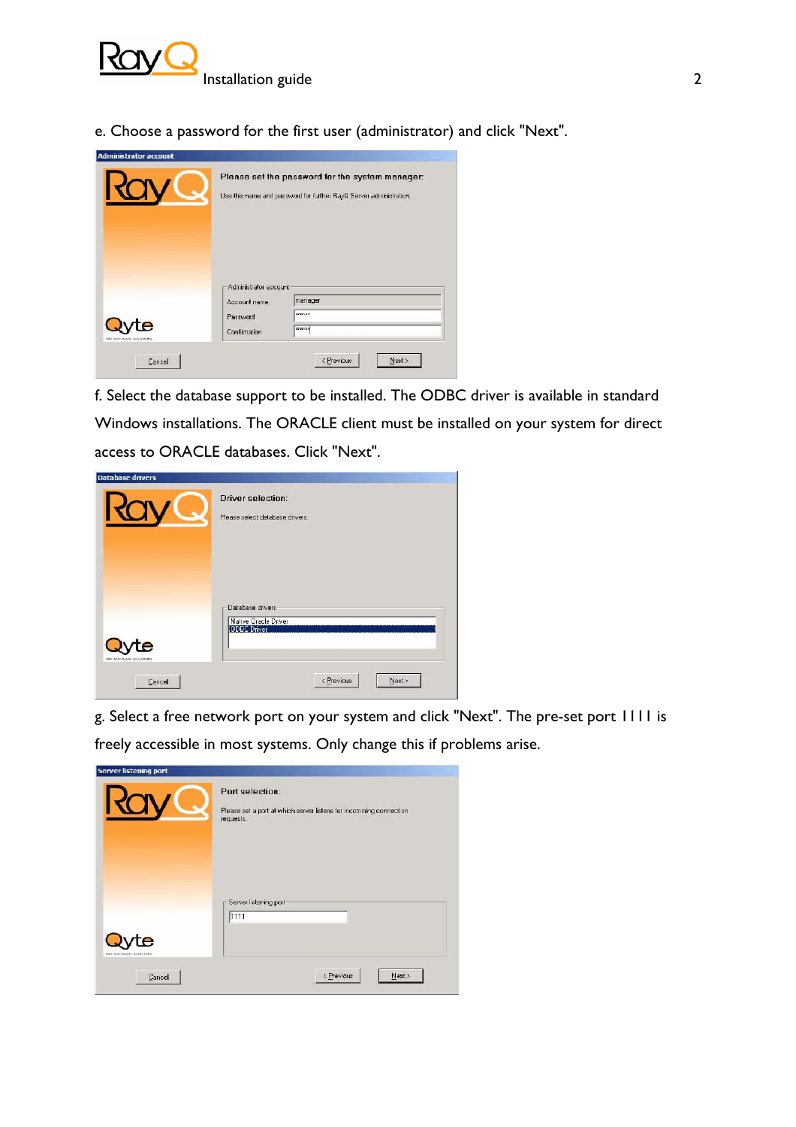

e. Choose a password for the first user (administrator) and click "Next".

| Please set the password for the system manager:<br>Use this name and password for further RayQ Server administration. |  |
|-----------------------------------------------------------------------------------------------------------------------|--|
|                                                                                                                       |  |
| Administrator account                                                                                                 |  |

f. Select the database support to be installed. The ODBC driver is available in standard Windows installations. The ORACLE client must be installed on your system for direct access to ORACLE databases. Click "Next".

| <b>Database drivers</b>                | <b>Driver selection:</b><br>Please select database drivers.                               |
|----------------------------------------|-------------------------------------------------------------------------------------------|
| e<br>THE SEFTWARE SCIENTING.<br>Cancel | Database drivers<br>Native Oracle Driver<br><b>ODBC Driver</b><br>< Previous<br>$N$ ext > |

g. Select a free network port on your system and click "Next". The pre-set port 1111 is freely accessible in most systems. Only change this if problems arise.

|                                   | Port selection:<br>Please set a port at which server listens for incomming connection<br>requests. |
|-----------------------------------|----------------------------------------------------------------------------------------------------|
| e                                 | Server listening port-<br>1111                                                                     |
| TIME SOFFWARE SOLUTIONS<br>Cancel | < Previous<br>$N$ ext >                                                                            |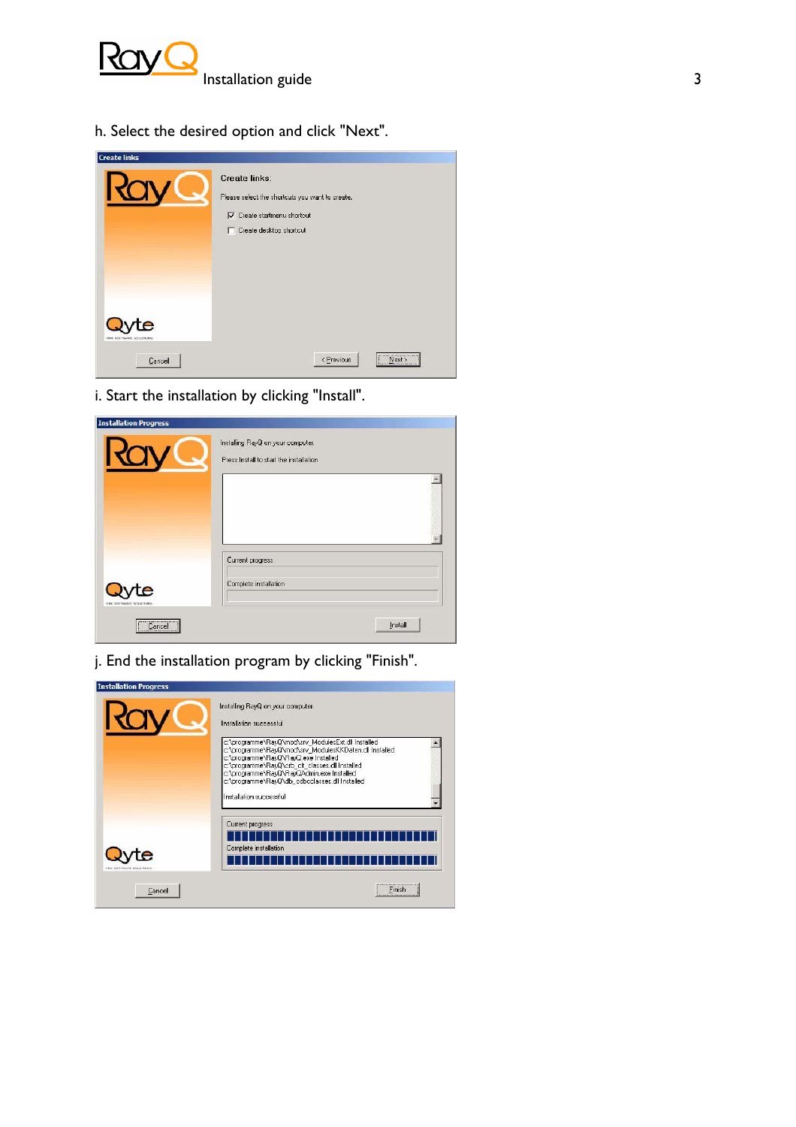

h. Select the desired option and click "Next".

|                                   | Create links:<br>Please select the shortcuts you want to create.<br>Create startmenu shortcut<br>Create desktop shortcut<br>п |
|-----------------------------------|-------------------------------------------------------------------------------------------------------------------------------|
| FINE SOFTWARE SOLUTIONS<br>Cancel | Next><br>< Previous                                                                                                           |

i. Start the installation by clicking "Install".

|   | Installing RayQ on your computer.<br>Press Install to start the installation |
|---|------------------------------------------------------------------------------|
|   |                                                                              |
|   | Current progress                                                             |
| e | Complete installation                                                        |

j. End the installation program by clicking "Finish".

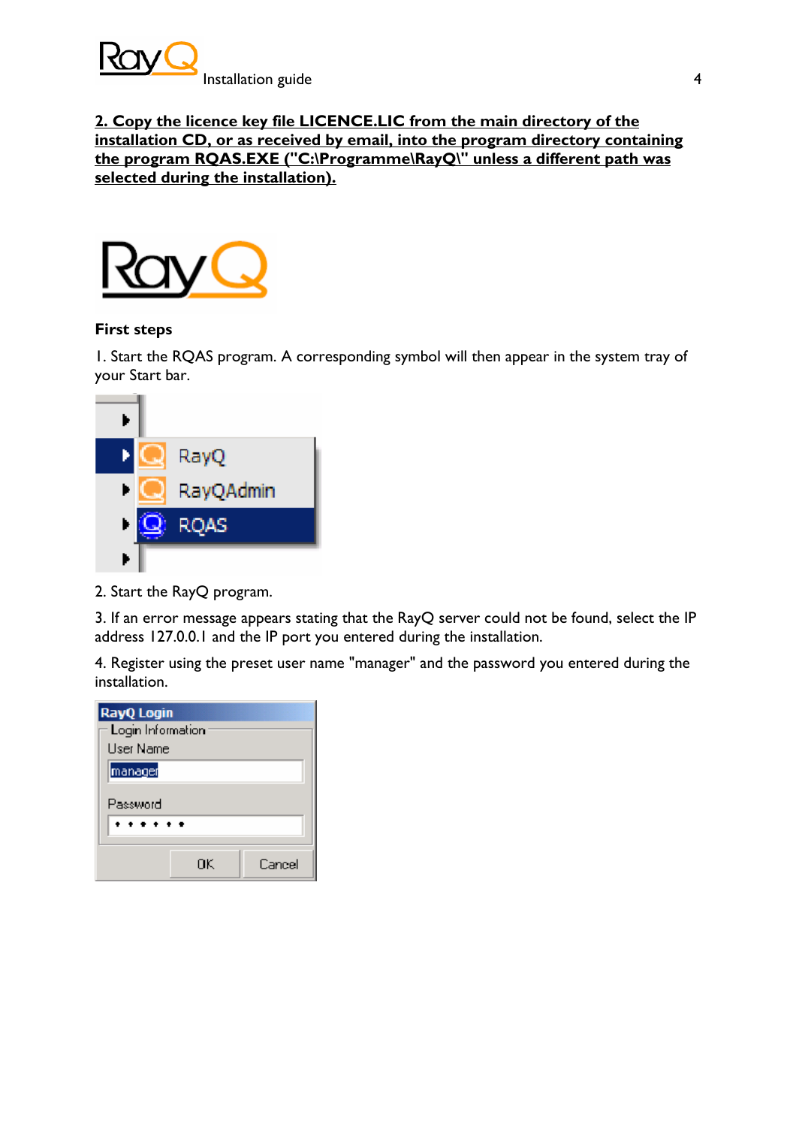

**2. Copy the licence key file LICENCE.LIC from the main directory of the installation CD, or as received by email, into the program directory containing the program RQAS.EXE ("C:\Programme\RayQ\" unless a different path was selected during the installation).** 



### **First steps**

1. Start the RQAS program. A corresponding symbol will then appear in the system tray of your Start bar.



2. Start the RayQ program.

3. If an error message appears stating that the RayQ server could not be found, select the IP address 127.0.0.1 and the IP port you entered during the installation.

4. Register using the preset user name "manager" and the password you entered during the installation.

| <b>RayQ</b> Login<br>Login Information<br>User Name |    |        |
|-----------------------------------------------------|----|--------|
| manager                                             |    |        |
| Password                                            |    |        |
| .                                                   |    |        |
|                                                     | ΩK | Cancel |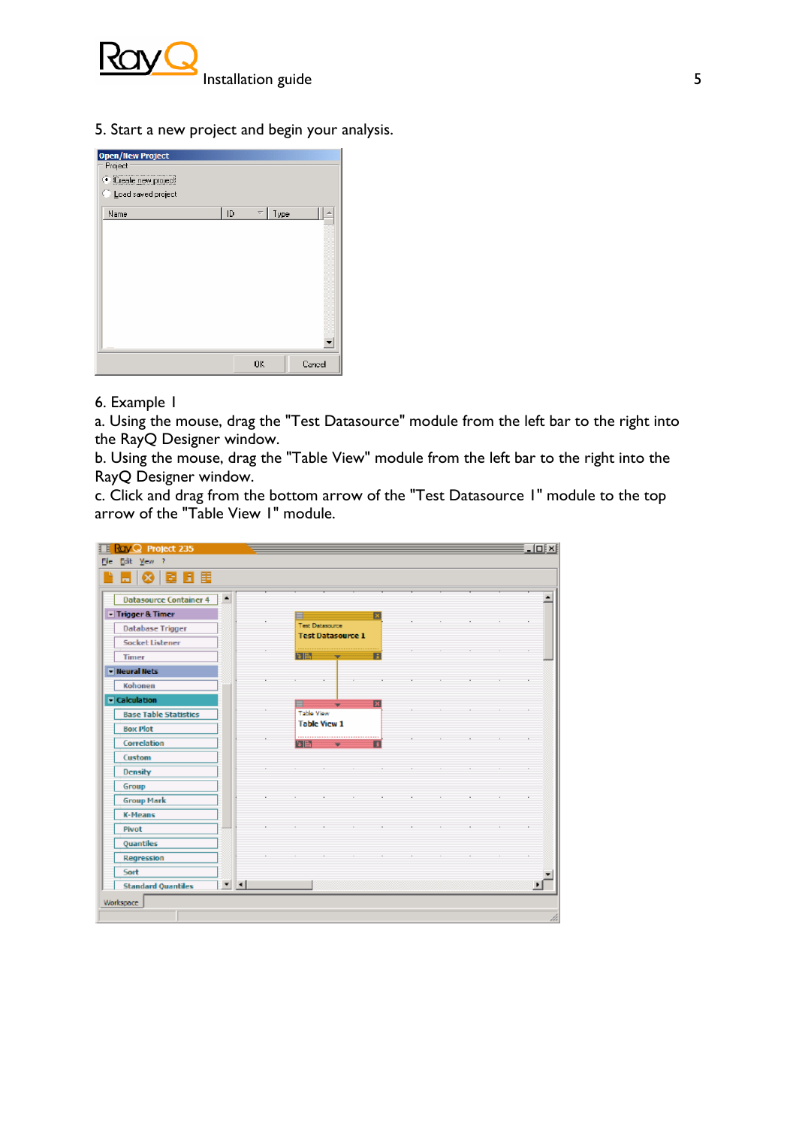

5. Start a new project and begin your analysis.

| <b>Open/New Project</b><br>Project |    |                          |      |        |
|------------------------------------|----|--------------------------|------|--------|
| Create new project                 |    |                          |      |        |
| Load saved project                 |    |                          |      |        |
| Name                               | ID | $\overline{\phantom{0}}$ | Type |        |
|                                    |    |                          |      |        |
|                                    |    |                          |      |        |
|                                    |    |                          |      |        |
|                                    |    |                          |      |        |
|                                    |    |                          |      |        |
|                                    |    |                          |      |        |
|                                    |    |                          |      |        |
|                                    |    |                          |      |        |
|                                    |    |                          |      |        |
|                                    |    |                          |      |        |
|                                    |    | <b>OK</b>                |      | Cancel |

### 6. Example 1

a. Using the mouse, drag the "Test Datasource" module from the left bar to the right into the RayQ Designer window.

b. Using the mouse, drag the "Table View" module from the left bar to the right into the RayQ Designer window.

c. Click and drag from the bottom arrow of the "Test Datasource 1" module to the top arrow of the "Table View 1" module.

| E B E<br>☺<br>m                      |                  |            |                                             |  |                         |  |  |    |
|--------------------------------------|------------------|------------|---------------------------------------------|--|-------------------------|--|--|----|
| <b>Datasource Container 4</b>        | $\blacktriangle$ |            |                                             |  |                         |  |  |    |
| - Trigger & Timer                    |                  |            |                                             |  | в                       |  |  |    |
| <b>Database Trigger</b>              |                  |            | Test Datasource<br><b>Test Datasource 1</b> |  |                         |  |  |    |
| <b>Socket Listener</b>               |                  |            |                                             |  |                         |  |  |    |
| Timer                                |                  | 同国         |                                             |  | Ħ                       |  |  |    |
| <b>I</b> leural Nets                 |                  |            |                                             |  |                         |  |  |    |
| Kohonen                              |                  |            |                                             |  |                         |  |  | ×. |
| $\overline{\phantom{a}}$ Calculation |                  |            | -                                           |  | $\overline{\mathbf{x}}$ |  |  |    |
| <b>Base Table Statistics</b>         |                  | Table View |                                             |  |                         |  |  |    |
| <b>Box Plot</b>                      |                  |            | <b>Table View 1</b>                         |  |                         |  |  |    |
| Correlation                          |                  | 5 B        |                                             |  | Ŧ                       |  |  |    |
| Custom                               |                  |            |                                             |  |                         |  |  |    |
| Density                              |                  |            |                                             |  |                         |  |  |    |
| Group                                |                  |            |                                             |  |                         |  |  |    |
| <b>Group Mark</b>                    |                  |            |                                             |  |                         |  |  |    |
| <b>K-Means</b>                       |                  |            |                                             |  |                         |  |  |    |
| Pivot                                |                  |            |                                             |  |                         |  |  |    |
| Quantiles                            |                  |            |                                             |  |                         |  |  |    |
| Regression                           |                  |            |                                             |  |                         |  |  |    |
| Sort                                 |                  |            |                                             |  |                         |  |  |    |
| <b>Standard Quantiles</b>            | $\mathbf{v}$   4 |            |                                             |  |                         |  |  |    |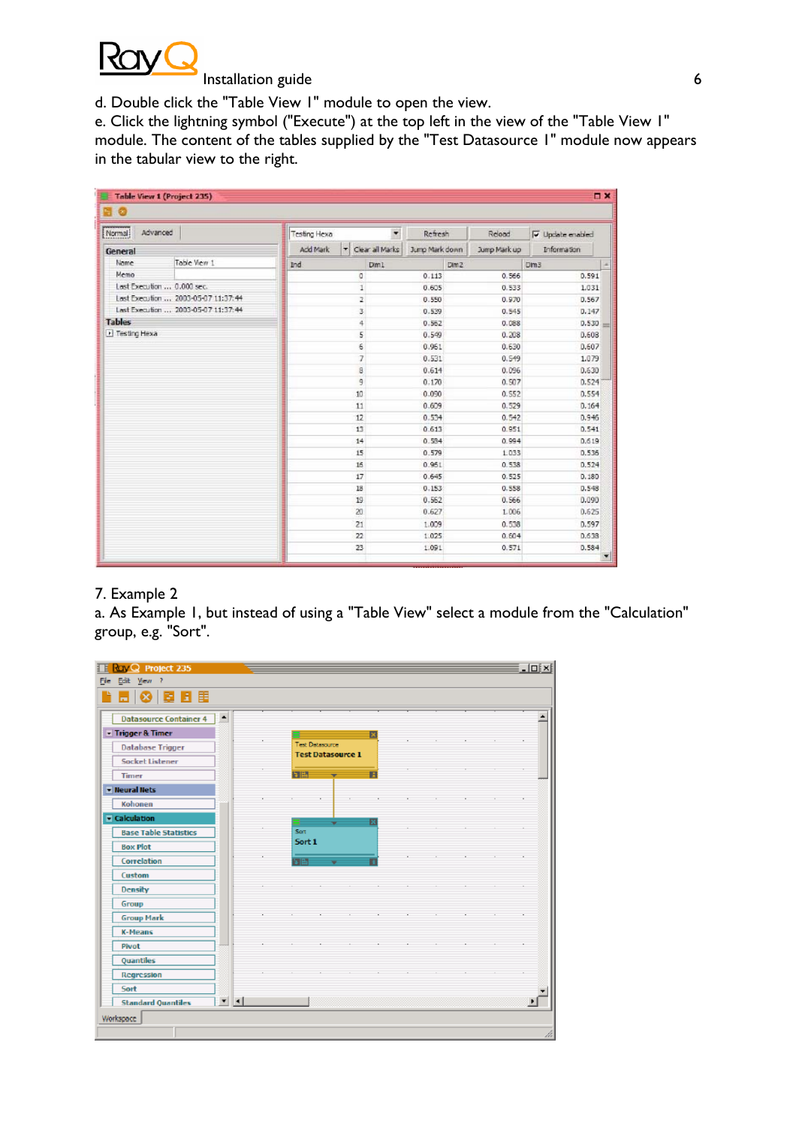

#### Installation guide 6

d. Double click the "Table View 1" module to open the view.

e. Click the lightning symbol ("Execute") at the top left in the view of the "Table View 1" module. The content of the tables supplied by the "Test Datasource 1" module now appears in the tabular view to the right.

| [Normal]       | Advanced                            | <b>Testing Hexa</b>              | $\blacktriangledown$<br>Refresh | Reload       | $\overline{\mathsf{v}}$ Update enabled |  |
|----------------|-------------------------------------|----------------------------------|---------------------------------|--------------|----------------------------------------|--|
| General        |                                     | ۳<br>Clear all Marks<br>Add Mark | Jump Mark down                  | Jump Mark up | <b>Information</b>                     |  |
| Name           | Table View 1                        | Ind<br>Dim1                      | Dim <sub>2</sub>                |              | Dm3                                    |  |
| Memo           |                                     | o                                | 0.113                           | 0.566        | 0.591                                  |  |
|                | Last Execution  0.000 sec.          | $\mathbbm{1}$                    | 0.605                           | 0.533        | 1.031                                  |  |
|                | Last Execution  2003-05-07 11:37:44 | z                                | 0.550                           | 0.970        | D.567                                  |  |
|                | Last Execution  2003-05-07 11:37:44 | 3                                | 0.539                           | 0.545        | D.147                                  |  |
| <b>Tables</b>  |                                     | $\frac{1}{2}$                    | 0.552                           | 0.088        | 0.530                                  |  |
| F Testing Hexa |                                     | 5                                | 0.549                           | 0.208        | 0.608                                  |  |
|                |                                     | 6                                | 0.961                           | 0.630        | 0.607                                  |  |
|                |                                     | 7                                | 0.531                           | 0.549        | 1.079                                  |  |
|                |                                     | 8                                | 0.614                           | 0.096        | 0.630                                  |  |
|                |                                     | 9                                | 0.170                           | 0.507        | 0.524                                  |  |
|                |                                     | 10                               | 0.090                           | 0.552        | 0.554                                  |  |
|                |                                     | 11                               | 0.609                           | 0.529        | 0.164                                  |  |
|                |                                     | 12                               | 0.534                           | 0.542        | 0.946                                  |  |
|                |                                     | 13                               | 0.613                           | 0.951        | 0.541                                  |  |
|                |                                     | 14                               | 0.584                           | 0.994        | 0.619<br>0.536                         |  |
|                |                                     | 15                               | 0.579                           | 1.033        |                                        |  |
|                |                                     | 16                               | 0.951                           | 0.538        | 0.524                                  |  |
|                |                                     | 17                               | 0.645                           | 0.525        | 0.180                                  |  |
|                |                                     | 18                               | 0.153                           | 0.558        | D.548                                  |  |
|                |                                     | 19                               | 0.562                           | 0.566        | 0.090                                  |  |
|                |                                     | 20                               | 0.627                           | 1.006        | 0.625                                  |  |
|                |                                     | 21                               | 1.009                           | 0.538        | 0.597                                  |  |
|                |                                     | 22                               | 1.025                           | 0.604        | 0.638                                  |  |
|                |                                     | 23                               | 1.091                           | 0.571        | 0.584                                  |  |

# 7. Example 2

a. As Example 1, but instead of using a "Table View" select a module from the "Calculation" group, e.g. "Sort".